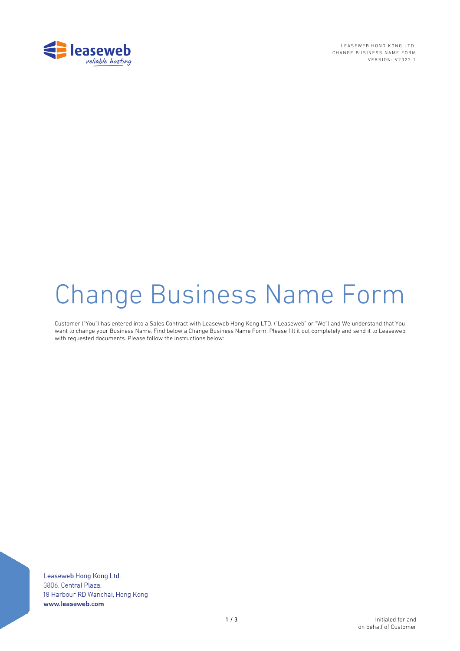

LEASEWEB HONG KONG LTD. CHANGE BUSINESS NAME FORM VERSION: V2022.1

# Change Business Name Form

Customer ("You") has entered into a Sales Contract with Leaseweb Hong Kong LTD. ("Leaseweb" or "We") and We understand that You want to change your Business Name. Find below a Change Business Name Form. Please fill it out completely and send it to Leaseweb with requested documents. Please follow the instructions below:

Leaseweb Hong Kong Ltd. 3806, Central Plaza, 18 Harbour RD Wanchai, Hong Kong www.leaseweb.com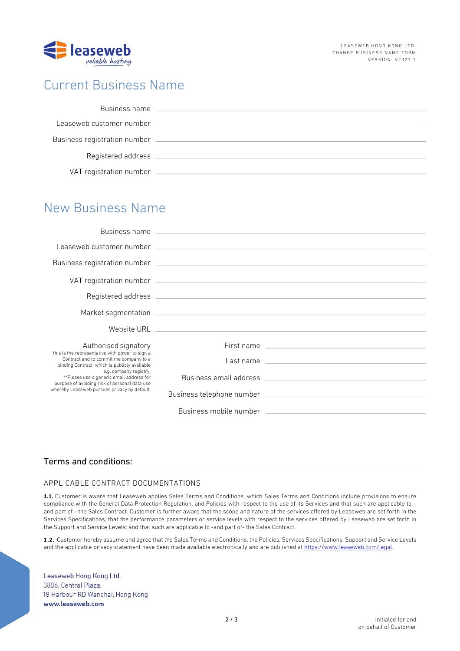

## Current Business Name

| Business name                |  |
|------------------------------|--|
| Leaseweb customer number     |  |
| Business registration number |  |
| Registered address           |  |
| VAT registration number      |  |

## New Business Name

|                                                                                                                                                                                                                                                                                                                    | Leaseweb customer number (2002) 2003 and 2004 and 2004 and 2004 and 2004 and 2004 and 2004 and 2004 and 2004 and 2004 and 2004 and 2004 and 2004 and 2004 and 2004 and 2004 and 2004 and 2004 and 2004 and 2004 and 2004 and 2 |
|--------------------------------------------------------------------------------------------------------------------------------------------------------------------------------------------------------------------------------------------------------------------------------------------------------------------|--------------------------------------------------------------------------------------------------------------------------------------------------------------------------------------------------------------------------------|
|                                                                                                                                                                                                                                                                                                                    |                                                                                                                                                                                                                                |
|                                                                                                                                                                                                                                                                                                                    |                                                                                                                                                                                                                                |
|                                                                                                                                                                                                                                                                                                                    |                                                                                                                                                                                                                                |
|                                                                                                                                                                                                                                                                                                                    |                                                                                                                                                                                                                                |
|                                                                                                                                                                                                                                                                                                                    |                                                                                                                                                                                                                                |
| Authorised signatory                                                                                                                                                                                                                                                                                               |                                                                                                                                                                                                                                |
| this is the representative with power to sign a<br>Contract and to commit the company to a<br>binding Contract, which is publicly available<br>e.g. company registry.<br>**Please use a generic email address for<br>purpose of avoiding risk of personal data use<br>whereby Leaseweb pursues privacy by default. |                                                                                                                                                                                                                                |
|                                                                                                                                                                                                                                                                                                                    |                                                                                                                                                                                                                                |
|                                                                                                                                                                                                                                                                                                                    |                                                                                                                                                                                                                                |
|                                                                                                                                                                                                                                                                                                                    | Business mobile number that the control of the control of the control of the control of the control of the control of the control of the control of the control of the control of the control of the control of the control of |

### Terms and conditions:

#### APPLICABLE CONTRACT DOCUMENTATIONS

**1.1.** Customer is aware that Leaseweb applies Sales Terms and Conditions, which Sales Terms and Conditions include provisions to ensure compliance with the General Data Protection Regulation, and Policies with respect to the use of its Services and that such are applicable to – and part of - the Sales Contract. Customer is further aware that the scope and nature of the services offered by Leaseweb are set forth in the Services Specifications, that the performance parameters or service levels with respect to the services offered by Leaseweb are set forth in the Support and Service Levels; and that such are applicable to -and part of- the Sales Contract.

**1.2.** Customer hereby assume and agree that the Sales Terms and Conditions, the Policies, Services Specifications, Support and Service Levels and the applicable privacy statement have been made available electronically and are published at https://www.leaseweb.com/legal.

Leaseweb Hong Kong Ltd. 3806, Central Plaza, 18 Harbour RD Wanchai, Hong Kong www.leaseweb.com